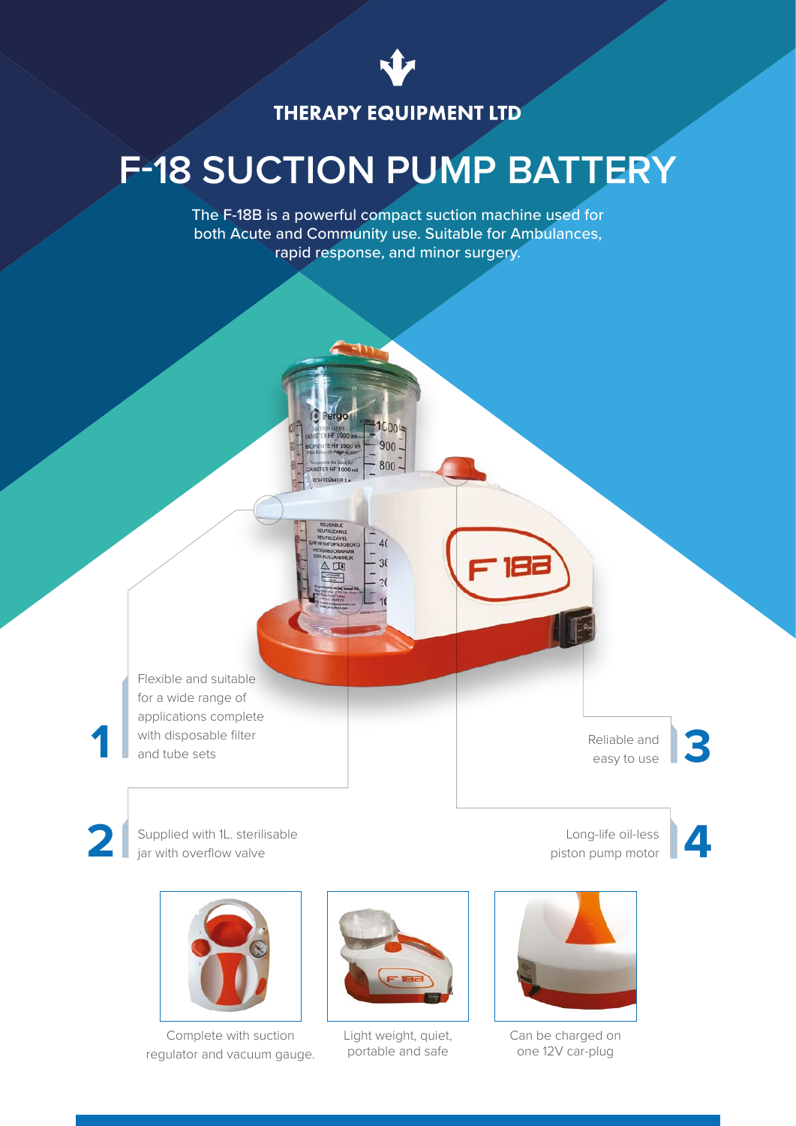

## **THERAPY EQUIPMENT LTD**

# **F-18 SUCTION PUMP BATTERY**

The F-18B is a powerful compact suction machine used for both Acute and Community use. Suitable for Ambulances, rapid response, and minor surgery.



Flexible and suitable for a wide range of applications complete with disposable filter and tube sets

**1**

**2**

Reliable and easy to use

**3**

**4**

Long-life oil-less piston pump motor





Supplied with 1L. sterilisable jar with overflow valve



Complete with suction regulator and vacuum gauge.



Light weight, quiet, portable and safe



Can be charged on one 12V car-plug